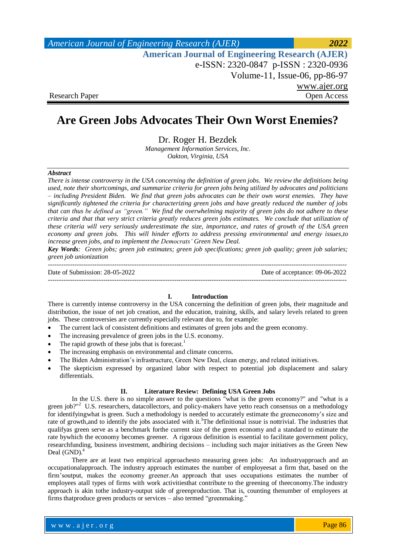| American Journal of Engineering Research (AJER)        | 2022         |
|--------------------------------------------------------|--------------|
| <b>American Journal of Engineering Research (AJER)</b> |              |
| e-ISSN: 2320-0847 p-ISSN: 2320-0936                    |              |
| Volume-11, Issue-06, pp-86-97                          |              |
|                                                        | www.ajer.org |
| <b>Research Paper</b>                                  | Open Access  |

# **Are Green Jobs Advocates Their Own Worst Enemies?**

Dr. Roger H. Bezdek

*Management Information Services, Inc. Oakton, Virginia, USA*

#### *Abstract*

*There is intense controversy in the USA concerning the definition of green jobs. We review the definitions being used, note their shortcomings, and summarize criteria for green jobs being utilized by advocates and politicians – including President Biden. We find that green jobs advocates can be their own worst enemies. They have significantly tightened the criteria for characterizing green jobs and have greatly reduced the number of jobs that can thus be defined as "green." We find the overwhelming majority of green jobs do not adhere to these criteria and that that very strict criteria greatly reduces green jobs estimates. We conclude that utilization of these criteria will very seriously underestimate the size, importance, and rates of growth of the USA green economy and green jobs. This will hinder efforts to address pressing environmental and energy issues,to increase green jobs, and to implement the Democrats' Green New Deal.*

*Key Words: Green jobs; green job estimates; green job specifications; green job quality; green job salaries; green job unionization*

---------------------------------------------------------------------------------------------------------------------------------------

Date of Submission: 28-05-2022 Date of acceptance: 09-06-2022

---------------------------------------------------------------------------------------------------------------------------------------

#### **I. Introduction**

There is currently intense controversy in the USA concerning the definition of green jobs, their magnitude and distribution, the issue of net job creation, and the education, training, skills, and salary levels related to green jobs. These controversies are currently especially relevant due to, for example:

- The current lack of consistent definitions and estimates of green jobs and the green economy.
- The increasing prevalence of green jobs in the U.S. economy.
- The rapid growth of these jobs that is forecast.<sup>1</sup>
- The increasing emphasis on environmental and climate concerns.
- The Biden Administration's infrastructure, Green New Deal, clean energy, and related initiatives.
	- The skepticism expressed by organized labor with respect to potential job displacement and salary differentials.

### **II. Literature Review: Defining USA Green Jobs**

In the U.S. there is no simple answer to the questions "what is the green economy?" and "what is a green job?"<sup>2</sup> U.S. researchers, datacollectors, and policy-makers have yetto reach consensus on a methodology for identifyingwhat is green. Such a methodology is needed to accurately estimate the greeneconomy's size and rate of growth, and to identify the jobs associated with it.<sup>3</sup>The definitional issue is nottrivial. The industries that qualifyas green serve as a benchmark forthe current size of the green economy and a standard to estimate the rate bywhich the economy becomes greener. A rigorous definition is essential to facilitate government policy, researchfunding, business investment, andhiring decisions – including such major initiatives as the Green New Deal (GND). 4

There are at least two empirical approachesto measuring green jobs: An industryapproach and an occupationalapproach. The industry approach estimates the number of employeesat a firm that, based on the firm'soutput, makes the economy greener.An approach that uses occupations estimates the number of employees atall types of firms with work activitiesthat contribute to the greening of theeconomy.The industry approach is akin tothe industry-output side of greenproduction. That is, counting thenumber of employees at firms thatproduce green products or services – also termed "greenmaking."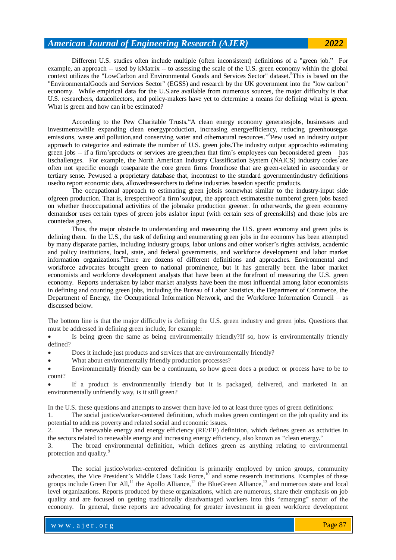Different U.S. studies often include multiple (often inconsistent) definitions of a "green job." For example, an approach -- used by kMatrix -- to assessing the scale of the U.S. green economy within the global context utilizes the "LowCarbon and Environmental Goods and Services Sector" dataset.<sup>5</sup>This is based on the "EnvironmentalGoods and Services Sector" (EGSS) and research by the UK government into the "low carbon" economy. While empirical data for the U.S.are available from numerous sources, the major difficulty is that U.S. researchers, datacollectors, and policy-makers have yet to determine a means for defining what is green. What is green and how can it be estimated?

According to the Pew Charitable Trusts,"A clean energy economy generatesjobs, businesses and investmentswhile expanding clean energyproduction, increasing energyefficiency, reducing greenhousegas emissions, waste and pollution, and conserving water and othernatural resources."<sup>6</sup>Pew used an industry output approach to categorize and estimate the number of U.S. green jobs.The industry output approachto estimating green jobs -- if a firm'sproducts or services are green,then that firm's employees can beconsidered green – has itschallenges. For example, the North American Industry Classification System (NAICS) industry codes<sup>7</sup>are often not specific enough toseparate the core green firms fromthose that are green-related in asecondary or tertiary sense. Pewused a proprietary database that, incontrast to the standard governmentindustry definitions usedto report economic data, allowedresearchers to define industries basedon specific products.

The occupational approach to estimating green jobsis somewhat similar to the industry-input side ofgreen production. That is, irrespectiveof a firm'soutput, the approach estimatesthe numberof green jobs based on whether theoccupational activities of the jobmake production greener. In otherwords, the green economy demandsor uses certain types of green jobs aslabor input (with certain sets of greenskills) and those jobs are countedas green.

Thus, the major obstacle to understanding and measuring the U.S. green economy and green jobs is defining them. In the U.S., the task of defining and enumerating green jobs in the economy has been attempted by many disparate parties, including industry groups, labor unions and other worker's rights activists, academic and policy institutions, local, state, and federal governments, and workforce development and labor market information organizations. <sup>8</sup>There are dozens of different definitions and approaches. Environmental and workforce advocates brought green to national prominence, but it has generally been the labor market economists and workforce development analysts that have been at the forefront of measuring the U.S. green economy. Reports undertaken by labor market analysts have been the most influential among labor economists in defining and counting green jobs, including the Bureau of Labor Statistics, the Department of Commerce, the Department of Energy, the Occupational Information Network, and the Workforce Information Council – as discussed below.

The bottom line is that the major difficulty is defining the U.S. green industry and green jobs. Questions that must be addressed in defining green include, for example:

 Is being green the same as being environmentally friendly?If so, how is environmentally friendly defined?

Does it include just products and services that are environmentally friendly?

What about environmentally friendly production processes?

 Environmentally friendly can be a continuum, so how green does a product or process have to be to count?

 If a product is environmentally friendly but it is packaged, delivered, and marketed in an environmentally unfriendly way, is it still green?

In the U.S. these questions and attempts to answer them have led to at least three types of green definitions:

1. The social justice/worker-centered definition, which makes green contingent on the job quality and its potential to address poverty and related social and economic issues.

2. The renewable energy and energy efficiency (RE/EE) definition, which defines green as activities in the sectors related to renewable energy and increasing energy efficiency, also known as "clean energy."

3. The broad environmental definition, which defines green as anything relating to environmental protection and quality.<sup>9</sup>

The social justice/worker-centered definition is primarily employed by union groups, community advocates, the Vice President's Middle Class Task Force,<sup>10</sup> and some research institutions. Examples of these groups include Green For All,<sup>11</sup> the Apollo Alliance,<sup>12</sup> the BlueGreen Alliance,<sup>13</sup> and numerous state and local level organizations. Reports produced by these organizations, which are numerous, share their emphasis on job quality and are focused on getting traditionally disadvantaged workers into this "emerging" sector of the economy. In general, these reports are advocating for greater investment in green workforce development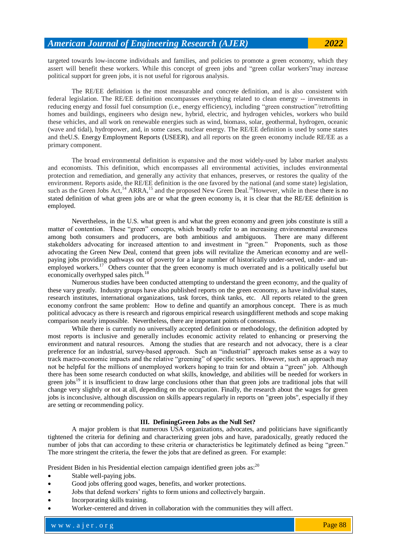targeted towards low-income individuals and families, and policies to promote a green economy, which they assert will benefit these workers. While this concept of green jobs and "green collar workers"may increase political support for green jobs, it is not useful for rigorous analysis.

The RE/EE definition is the most measurable and concrete definition, and is also consistent with federal legislation. The RE/EE definition encompasses everything related to clean energy -- investments in reducing energy and fossil fuel consumption (i.e., energy efficiency), including "green construction"/retrofitting homes and buildings, engineers who design new, hybrid, electric, and hydrogen vehicles, workers who build these vehicles, and all work on renewable energies such as wind, biomass, solar, geothermal, hydrogen, oceanic (wave and tidal), hydropower, and, in some cases, nuclear energy. The RE/EE definition is used by some states and theU.S. Energy Employment Reports (USEER), and all reports on the green economy include RE/EE as a primary component.

The broad environmental definition is expansive and the most widely-used by labor market analysts and economists. This definition, which encompasses all environmental activities, includes environmental protection and remediation, and generally any activity that enhances, preserves, or restores the quality of the environment. Reports aside, the RE/EE definition is the one favored by the national (and some state) legislation, such as the Green Jobs Act,<sup>14</sup> ARRA,<sup>15</sup> and the proposed New Green Deal.<sup>16</sup>However, while in these there is no stated definition of what green jobs are or what the green economy is, it is clear that the RE/EE definition is employed.

Nevertheless, in the U.S. what green is and what the green economy and green jobs constitute is still a matter of contention. These "green" concepts, which broadly refer to an increasing environmental awareness among both consumers and producers, are both ambitious and ambiguous. There are many different stakeholders advocating for increased attention to and investment in "green." Proponents, such as those advocating the Green New Deal, contend that green jobs will revitalize the American economy and are wellpaying jobs providing pathways out of poverty for a large number of historically under-served, under- and unemployed workers.<sup>17</sup> Others counter that the green economy is much overrated and is a politically useful but economically overhyped sales pitch.<sup>18</sup>

Numerous studies have been conducted attempting to understand the green economy, and the quality of these vary greatly. Industry groups have also published reports on the green economy, as have individual states, research institutes, international organizations, task forces, think tanks, etc. All reports related to the green economy confront the same problem: How to define and quantify an amorphous concept. There is as much political advocacy as there is research and rigorous empirical research usingdifferent methods and scope making comparison nearly impossible. Nevertheless, there are important points of consensus.

While there is currently no universally accepted definition or methodology, the definition adopted by most reports is inclusive and generally includes economic activity related to enhancing or preserving the environment and natural resources. Among the studies that are research and not advocacy, there is a clear preference for an industrial, survey-based approach. Such an "industrial" approach makes sense as a way to track macro-economic impacts and the relative "greening" of specific sectors. However, such an approach may not be helpful for the millions of unemployed workers hoping to train for and obtain a "green" job. Although there has been some research conducted on what skills, knowledge, and abilities will be needed for workers in green jobs<sup>19</sup> it is insufficient to draw large conclusions other than that green jobs are traditional jobs that will change very slightly or not at all, depending on the occupation. Finally, the research about the wages for green jobs is inconclusive, although discussion on skills appears regularly in reports on "green jobs", especially if they are setting or recommending policy.

#### **III. DefiningGreen Jobs as the Null Set?**

A major problem is that numerous USA organizations, advocates, and politicians have significantly tightened the criteria for defining and characterizing green jobs and have, paradoxically, greatly reduced the number of jobs that can according to these criteria or characteristics be legitimately defined as being "green." The more stringent the criteria, the fewer the jobs that are defined as green. For example:

President Biden in his Presidential election campaign identified green jobs as:<sup>20</sup>

- Stable well-paying jobs.
- Good jobs offering good wages, benefits, and worker protections.
- Jobs that defend workers' rights to form unions and collectively bargain.
- Incorporating skills training.
- Worker-centered and driven in collaboration with the communities they will affect.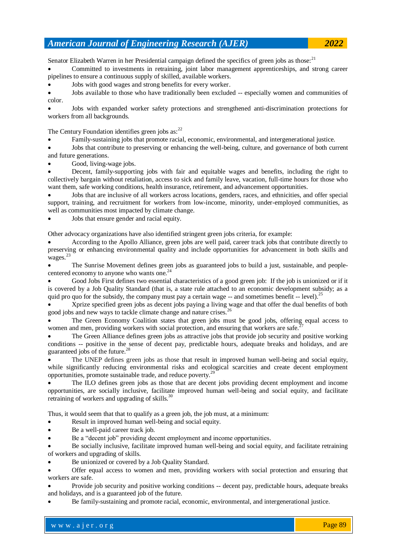Senator Elizabeth Warren in her Presidential campaign defined the specifics of green jobs as those:<sup>21</sup>

 Committed to investments in retraining, joint labor management apprenticeships, and strong career pipelines to ensure a continuous supply of skilled, available workers.

Jobs with good wages and strong benefits for every worker.

 Jobs available to those who have traditionally been excluded -- especially women and communities of color.

 Jobs with expanded worker safety protections and strengthened anti-discrimination protections for workers from all backgrounds.

The Century Foundation identifies green jobs  $as:^{22}$ 

Family-sustaining jobs that promote racial, economic, environmental, and intergenerational justice.

 Jobs that contribute to preserving or enhancing the well-being, culture, and governance of both current and future generations.

Good, living-wage jobs.

 Decent, family-supporting jobs with fair and equitable wages and benefits, including the right to collectively bargain without retaliation, access to sick and family leave, vacation, full-time hours for those who want them, safe working conditions, health insurance, retirement, and advancement opportunities.

 Jobs that are inclusive of all workers across locations, genders, races, and ethnicities, and offer special support, training, and recruitment for workers from low-income, minority, under-employed communities, as well as communities most impacted by climate change.

Jobs that ensure gender and racial equity.

Other advocacy organizations have also identified stringent green jobs criteria, for example:

 According to the Apollo Alliance, green jobs are well paid, career track jobs that contribute directly to preserving or enhancing environmental quality and include opportunities for advancement in both skills and wages.<sup>23</sup>

 The Sunrise Movement defines green jobs as guaranteed jobs to build a just, sustainable, and peoplecentered economy to anyone who wants one.<sup>24</sup>

 Good Jobs First defines two essential characteristics of a good green job: If the job is unionized or if it is covered by a Job Quality Standard (that is, a state rule attached to an economic development subsidy; as a quid pro quo for the subsidy, the company must pay a certain wage  $-$  and sometimes benefit  $-$  level).<sup>25</sup>

 Xprize specified green jobs as decent jobs paying a living wage and that offer the dual benefits of both good jobs and new ways to tackle climate change and nature crises.<sup>26</sup>

 The Green Economy Coalition states that green jobs must be good jobs, offering equal access to women and men, providing workers with social protection, and ensuring that workers are safe.

 The Green Alliance defines green jobs as attractive jobs that provide job security and positive working conditions -- positive in the sense of decent pay, predictable hours, adequate breaks and holidays, and are guaranteed jobs of the future.<sup>2</sup>

 The UNEP defines green jobs as those that result in improved human well-being and social equity, while significantly reducing environmental risks and ecological scarcities and create decent employment opportunities, promote sustainable trade, and reduce poverty.<sup>29</sup>

 The ILO defines green jobs as those that are decent jobs providing decent employment and income opportunities, are socially inclusive, facilitate improved human well-being and social equity, and facilitate retraining of workers and upgrading of skills.<sup>30</sup>

Thus, it would seem that that to qualify as a green job, the job must, at a minimum:

Result in improved human well-being and social equity.

Be a well-paid career track job.

Be a "decent job" providing decent employment and income opportunities.

 Be socially inclusive, facilitate improved human well-being and social equity, and facilitate retraining of workers and upgrading of skills.

Be unionized or covered by a Job Quality Standard.

 Offer equal access to women and men, providing workers with social protection and ensuring that workers are safe.

 Provide job security and positive working conditions -- decent pay, predictable hours, adequate breaks and holidays, and is a guaranteed job of the future.

Be family-sustaining and promote racial, economic, environmental, and intergenerational justice.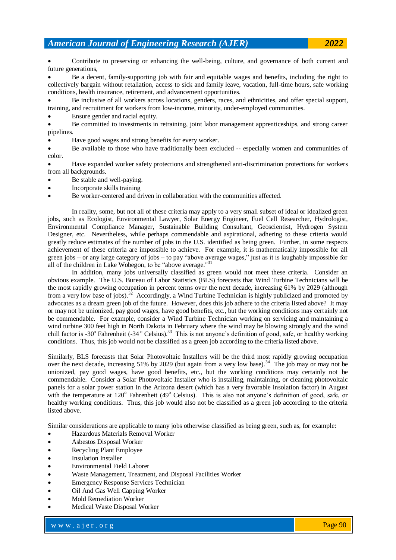Contribute to preserving or enhancing the well-being, culture, and governance of both current and future generations,

 Be a decent, family-supporting job with fair and equitable wages and benefits, including the right to collectively bargain without retaliation, access to sick and family leave, vacation, full-time hours, safe working conditions, health insurance, retirement, and advancement opportunities.

 Be inclusive of all workers across locations, genders, races, and ethnicities, and offer special support, training, and recruitment for workers from low-income, minority, under-employed communities.

Ensure gender and racial equity.

 Be committed to investments in retraining, joint labor management apprenticeships, and strong career pipelines.

Have good wages and strong benefits for every worker.

 Be available to those who have traditionally been excluded -- especially women and communities of color.

 Have expanded worker safety protections and strengthened anti-discrimination protections for workers from all backgrounds.

- Be stable and well-paying.
- Incorporate skills training
- Be worker-centered and driven in collaboration with the communities affected.

In reality, some, but not all of these criteria may apply to a very small subset of ideal or idealized green jobs, such as Ecologist, Environmental Lawyer, Solar Energy Engineer, Fuel Cell Researcher, Hydrologist, [Environmental Compliance Manager,](https://careers.cleanharbors.com/jobs/6558316-environmental-compliance-manager) Sustainable Building Consultant, Geoscientist, Hydrogen System Designer, etc. Nevertheless, while perhaps commendable and aspirational, adhering to these criteria would greatly reduce estimates of the number of jobs in the U.S. identified as being green. Further, in some respects achievement of these criteria are impossible to achieve. For example, it is mathematically impossible for all green jobs – or any large category of jobs – to pay "above average wages," just as it is laughably impossible for all of the children in Lake Wobegon, to be "above average."<sup>31</sup>

In addition, many jobs universally classified as green would not meet these criteria. Consider an obvious example. The U.S. Bureau of Labor Statistics (BLS) forecasts that Wind Turbine Technicians will be the most rapidly growing occupation in percent terms over the next decade, increasing 61% by 2029 (although from a very low base of jobs).<sup>32</sup> Accordingly, a Wind Turbine Technician is highly publicized and promoted by advocates as a dream green job of the future. However, does this job adhere to the criteria listed above? It may or may not be unionized, pay good wages, have good benefits, etc., but the working conditions may certainly not be commendable. For example, consider a Wind Turbine Technician working on servicing and maintaining a wind turbine 300 feet high in North Dakota in February where the wind may be blowing strongly and the wind chill factor is -30° Fahrenheit (-34° Celsius).<sup>33</sup> This is not anyone's definition of good, safe, or healthy working conditions. Thus, this job would not be classified as a green job according to the criteria listed above.

Similarly, BLS forecasts that Solar Photovoltaic Installers will be the third most rapidly growing occupation over the next decade, increasing 51% by 2029 (but again from a very low base).<sup>34</sup> The job may or may not be unionized, pay good wages, have good benefits, etc., but the working conditions may certainly not be commendable. Consider a Solar Photovoltaic Installer who is installing, maintaining, or cleaning photovoltaic panels for a solar power station in the Arizona desert (which has a very favorable insolation factor) in August with the temperature at 120° Fahrenheit (49° Celsius). This is also not anyone's definition of good, safe, or healthy working conditions. Thus, this job would also not be classified as a green job according to the criteria listed above.

Similar considerations are applicable to many jobs otherwise classified as being green, such as, for example:

- Hazardous Materials Removal Worker
- Asbestos Disposal Worker
- Recycling Plant Employee
- Insulation Installer
- Environmental Field Laborer
- Waste Management, Treatment, and Disposal Facilities Worker
- Emergency Response Services Technician
- Oil And Gas Well Capping Worker
- Mold Remediation Worker
- Medical Waste Disposal Worker

www.ajer.org where  $\mathcal{L} = \mathcal{L} \left( \mathcal{L} \right)$  is the set of  $\mathcal{L} \left( \mathcal{L} \right)$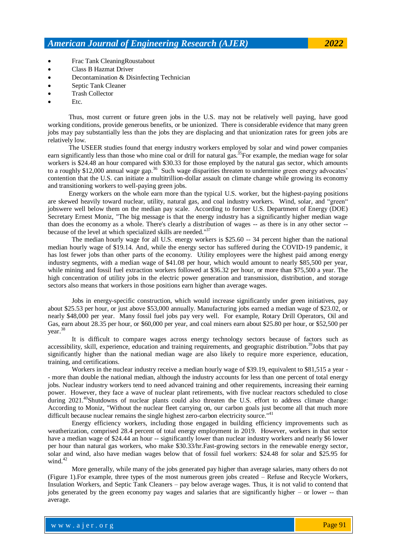- Frac Tank CleaningRoustabout
- Class B Hazmat Driver
- Decontamination & Disinfecting Technician
- Septic Tank Cleaner
- Trash Collector
- Etc.

Thus, most current or future green jobs in the U.S. may not be relatively well paying, have good working conditions, provide generous benefits, or be unionized. There is considerable evidence that many green jobs may pay substantially less than the jobs they are displacing and that unionization rates for green jobs are relatively low.

The USEER studies found that energy industry workers employed by solar and wind power companies earn significantly less than those who mine coal or drill for natural gas.<sup>35</sup>For example, the median wage for solar workers is \$24.48 an hour compared with \$30.33 for those employed by the natural gas sector, which amounts to a roughly \$12,000 annual wage gap.<sup>36</sup> Such wage disparities threaten to undermine green energy advocates' contention that the U.S. can initiate a multitrillion-dollar assault on climate change while growing its economy and transitioning workers to well-paying green jobs.

Energy workers on the whole earn more than the typical U.S. worker, but the highest-paying positions are skewed heavily toward nuclear, utility, natural gas, and coal industry workers. Wind, solar, and "green" jobswere well below them on the median pay scale. According to former U.S. Department of Energy (DOE) Secretary Ernest Moniz, "The big message is that the energy industry has a significantly higher median wage than does the economy as a whole. There's clearly a distribution of wages -- as there is in any other sector - because of the level at which specialized skills are needed."<sup>37</sup>

The median hourly wage for all U.S. energy workers is \$25.60 -- 34 percent higher than the national median hourly wage of \$19.14. And, while the energy sector has suffered during the COVID-19 pandemic, it has lost fewer jobs than other parts of the economy. Utility employees were the highest paid among energy industry segments, with a median wage of \$41.08 per hour, which would amount to nearly \$85,500 per year, while mining and fossil fuel extraction workers followed at \$36.32 per hour, or more than \$75,500 a year. The high concentration of utility jobs in the electric power generation and transmission, distribution, and storage sectors also means that workers in those positions earn higher than average wages.

Jobs in energy-specific construction, which would increase significantly under green initiatives, pay about \$25.53 per hour, or just above \$53,000 annually. Manufacturing jobs earned a median wage of \$23.02, or nearly \$48,000 per year. Many fossil fuel jobs pay very well. For example, Rotary Drill Operators, Oil and Gas, earn about 28.35 per hour, or \$60,000 per year, and coal miners earn about \$25.80 per hour, or \$52,500 per year. 38

It is difficult to compare wages across energy technology sectors because of factors such as accessibility, skill, experience, education and training requirements, and geographic distribution.<sup>39</sup>Jobs that pay significantly higher than the national median wage are also likely to require more experience, education, training, and certifications.

Workers in the nuclear industry receive a median hourly wage of \$39.19, equivalent to \$81,515 a year - - more than double the national median, although the industry accounts for less than one percent of total energy jobs. Nuclear industry workers tend to need advanced training and other requirements, increasing their earning power. However, they face a wave of nuclear plant retirements, with five nuclear reactors scheduled to close during 2021.<sup>40</sup>Shutdowns of nuclear plants could also threaten the U.S. effort to address climate change: According to Moniz, "Without the nuclear fleet carrying on, our carbon goals just become all that much more difficult because nuclear remains the single highest zero-carbon electricity source."<sup>41</sup>

Energy efficiency workers, including those engaged in building efficiency improvements such as weatherization, comprised 28.4 percent of total energy employment in 2019. However, workers in that sector have a median wage of \$24.44 an hour -- significantly lower than nuclear industry workers and nearly \$6 lower per hour than natural gas workers, who make \$30.33/hr.Fast-growing sectors in the renewable energy sector, solar and wind, also have median wages below that of fossil fuel workers: \$24.48 for solar and \$25.95 for wind. $42$ 

More generally, while many of the jobs generated pay higher than average salaries, many others do not (Figure 1).For example, three types of the most numerous green jobs created – Refuse and Recycle Workers, Insulation Workers, and Septic Tank Cleaners – pay below average wages. Thus, it is not valid to contend that jobs generated by the green economy pay wages and salaries that are significantly higher – or lower -- than average.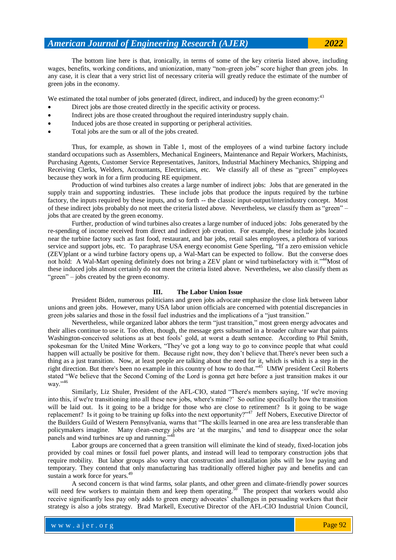The bottom line here is that, ironically, in terms of some of the key criteria listed above, including wages, benefits, working conditions, and unionization, many "non-green jobs" score higher than green jobs. In any case, it is clear that a very strict list of necessary criteria will greatly reduce the estimate of the number of green jobs in the economy.

We estimated the total number of jobs generated (direct, indirect, and induced) by the green economy:<sup>43</sup>

- Direct jobs are those created directly in the specific activity or process.
- Indirect jobs are those created throughout the required interindustry supply chain.
- Induced jobs are those created in supporting or peripheral activities.
- Total jobs are the sum or all of the jobs created.

Thus, for example, as shown in Table 1, most of the employees of a wind turbine factory include standard occupations such as Assemblers, Mechanical Engineers, Maintenance and Repair Workers, Machinists, Purchasing Agents, Customer Service Representatives, Janitors, Industrial Machinery Mechanics, Shipping and Receiving Clerks, Welders, Accountants, Electricians, etc. We classify all of these as "green" employees because they work in for a firm producing RE equipment.

Production of wind turbines also creates a large number of indirect jobs: Jobs that are generated in the supply train and supporting industries. These include jobs that produce the inputs required by the turbine factory, the inputs required by these inputs, and so forth -- the classic input-output/interindustry concept. Most of these indirect jobs probably do not meet the criteria listed above. Nevertheless, we classify them as "green" – jobs that are created by the green economy.

Further, production of wind turbines also creates a large number of induced jobs: Jobs generated by the re-spending of income received from direct and indirect job creation. For example, these include jobs located near the turbine factory such as fast food, restaurant, and bar jobs, retail sales employees, a plethora of various service and support jobs, etc. To paraphrase USA energy economist Gene Sperling, "If a zero emission vehicle (ZEV)plant or a wind turbine factory opens up, a Wal-Mart can be expected to follow. But the converse does not hold: A Wal-Mart opening definitely does not bring a ZEV plant or wind turbinefactory with it."<sup>44</sup>Most of these induced jobs almost certainly do not meet the criteria listed above. Nevertheless, we also classify them as "green" – jobs created by the green economy.

#### **III. The Labor Union Issue**

President Biden, numerous politicians and green jobs advocate emphasize the close link between labor unions and green jobs. However, many USA labor union officials are concerned with potential discrepancies in green jobs salaries and those in the fossil fuel industries and the implications of a "just transition."

Nevertheless, while organized labor abhors the term "just transition," most green energy advocates and their allies continue to use it. Too often, though, the message gets subsumed in a broader culture war that paints Washington-conceived solutions as at best fools' gold, at worst a death sentence. According to Phil Smith, spokesman for the United Mine Workers, "They've got a long way to go to convince people that what could happen will actually be positive for them. Because right now, they don't believe that. There's never been such a thing as a just transition. Now, at least people are talking about the need for it, which is which is a step in the right direction. But there's been no example in this country of how to do that."<sup>45</sup> UMW president Cecil Roberts stated "We believe that the Second Coming of the Lord is gonna get here before a just transition makes it our way."<sup>46</sup>

Similarly, Liz Shuler, President of the AFL-CIO, stated "There's members saying, 'If we're moving into this, if we're transitioning into all these new jobs, where's mine?' So outline specifically how the transition will be laid out. Is it going to be a bridge for those who are close to retirement? Is it going to be wage replacement? Is it going to be training up folks into the next opportunity?"<sup>47</sup> Jeff Nobers, Executive Director of the Builders Guild of Western Pennsylvania, warns that "The skills learned in one area are less transferable than policymakers imagine. Many clean-energy jobs are 'at the margins,' and tend to disappear once the solar panels and wind turbines are up and running."

Labor groups are concerned that a green transition will eliminate the kind of steady, fixed-location jobs provided by coal mines or fossil fuel power plants, and instead will lead to temporary construction jobs that require mobility. But labor groups also worry that construction and installation jobs will be low paying and temporary. They contend that only manufacturing has traditionally offered higher pay and benefits and can sustain a work force for years.<sup>49</sup>

A second concern is that wind farms, solar plants, and other green and climate-friendly power sources will need few workers to maintain them and keep them operating.<sup>50</sup> The prospect that workers would also receive significantly less pay only adds to green energy advocates' challenges in persuading workers that their strategy is also a jobs strategy. Brad Markell, Executive Director of the AFL-CIO Industrial Union Council,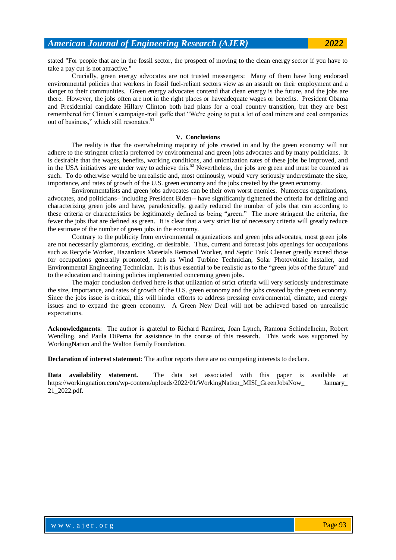stated "For people that are in the fossil sector, the prospect of moving to the clean energy sector if you have to take a pay cut is not attractive."

Crucially, green energy advocates are not trusted messengers: Many of them have long endorsed environmental policies that workers in fossil fuel-reliant sectors view as an assault on their employment and a danger to their communities. Green energy advocates contend that clean energy is the future, and the jobs are there. However, the jobs often are not in the right places or haveadequate wages or benefits. President Obama and Presidential candidate Hillary Clinton both had plans for a coal country transition, but they are best remembered for Clinton's campaign-trail gaffe that "We're going to put a lot of coal miners and coal companies out of business," which still resonates.<sup>51</sup>

#### **V. Conclusions**

The reality is that the overwhelming majority of jobs created in and by the green economy will not adhere to the stringent criteria preferred by environmental and green jobs advocates and by many politicians. It is desirable that the wages, benefits, working conditions, and unionization rates of these jobs be improved, and in the USA initiatives are under way to achieve this.<sup>52</sup> Nevertheless, the jobs are green and must be counted as such. To do otherwise would be unrealistic and, most ominously, would very seriously underestimate the size, importance, and rates of growth of the U.S. green economy and the jobs created by the green economy.

Environmentalists and green jobs advocates can be their own worst enemies. Numerous organizations, advocates, and politicians– including President Biden-- have significantly tightened the criteria for defining and characterizing green jobs and have, paradoxically, greatly reduced the number of jobs that can according to these criteria or characteristics be legitimately defined as being "green." The more stringent the criteria, the fewer the jobs that are defined as green. It is clear that a very strict list of necessary criteria will greatly reduce the estimate of the number of green jobs in the economy.

Contrary to the publicity from environmental organizations and green jobs advocates, most green jobs are not necessarily glamorous, exciting, or desirable. Thus, current and forecast jobs openings for occupations such as Recycle Worker, Hazardous Materials Removal Worker, and Septic Tank Cleaner greatly exceed those for occupations generally promoted, such as Wind Turbine Technician, Solar Photovoltaic Installer, and Environmental Engineering Technician. It is thus essential to be realistic as to the "green jobs of the future" and to the education and training policies implemented concerning green jobs.

The major conclusion derived here is that utilization of strict criteria will very seriously underestimate the size, importance, and rates of growth of the U.S. green economy and the jobs created by the green economy. Since the jobs issue is critical, this will hinder efforts to address pressing environmental, climate, and energy issues and to expand the green economy. A Green New Deal will not be achieved based on unrealistic expectations.

**Acknowledgments**: The author is grateful to Richard Ramirez, Joan Lynch, Ramona Schindelheim, Robert Wendling, and Paula DiPerna for assistance in the course of this research. This work was supported by WorkingNation and the Walton Family Foundation.

**Declaration of interest statement**: The author reports there are no competing interests to declare.

**Data availability statement.** The data set associated with this paper is available at https://workingnation.com/wp-content/uploads/2022/01/WorkingNation\_MISI\_GreenJobsNow January 21\_2022.pdf.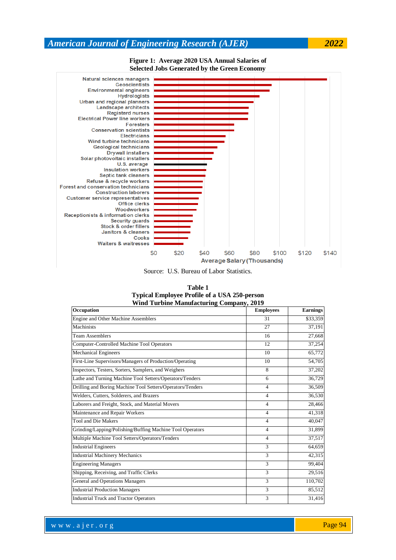**Figure 1: Average 2020 USA Annual Salaries of Selected Jobs Generated by the Green Economy**



Source: U.S. Bureau of Labor Statistics.

| Table 1                                             |
|-----------------------------------------------------|
| <b>Typical Employee Profile of a USA 250-person</b> |
| <b>Wind Turbine Manufacturing Company, 2019</b>     |

| Occupation                                                 | <b>Employees</b> | Earnings |
|------------------------------------------------------------|------------------|----------|
| Engine and Other Machine Assemblers                        | 31               | \$33,359 |
| Machinists                                                 | 27               | 37,191   |
| <b>Team Assemblers</b>                                     | 16               | 27,668   |
| Computer-Controlled Machine Tool Operators                 | 12               | 37,254   |
| <b>Mechanical Engineers</b>                                | 10               | 65,772   |
| First-Line Supervisors/Managers of Production/Operating    | 10               | 54,705   |
| Inspectors, Testers, Sorters, Samplers, and Weighers       | 8                | 37,202   |
| Lathe and Turning Machine Tool Setters/Operators/Tenders   | 6                | 36,729   |
| Drilling and Boring Machine Tool Setters/Operators/Tenders | 4                | 36,509   |
| Welders, Cutters, Solderers, and Brazers                   | 4                | 36,530   |
| Laborers and Freight, Stock, and Material Movers           | 4                | 28,466   |
| Maintenance and Repair Workers                             | 4                | 41,318   |
| <b>Tool and Die Makers</b>                                 | 4                | 40,047   |
| Grinding/Lapping/Polishing/Buffing Machine Tool Operators  | 4                | 31,899   |
| Multiple Machine Tool Setters/Operators/Tenders            | $\overline{4}$   | 37,517   |
| <b>Industrial Engineers</b>                                | 3                | 64,659   |
| <b>Industrial Machinery Mechanics</b>                      | 3                | 42,315   |
| <b>Engineering Managers</b>                                | 3                | 99,404   |
| Shipping, Receiving, and Traffic Clerks                    | 3                | 29,516   |
| General and Operations Managers                            | 3                | 110,702  |
| <b>Industrial Production Managers</b>                      | 3                | 85,512   |
| <b>Industrial Truck and Tractor Operators</b>              | 3                | 31,416   |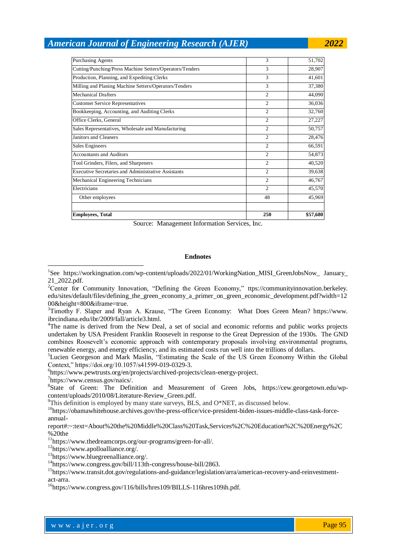| <b>Employees, Total</b>                                    | 250            | \$57,680 |
|------------------------------------------------------------|----------------|----------|
|                                                            |                |          |
| Other employees                                            | 48             | 45,969   |
| Electricians                                               | $\overline{c}$ | 45,570   |
| Mechanical Engineering Technicians                         | $\overline{2}$ | 46,767   |
| <b>Executive Secretaries and Administrative Assistants</b> | $\overline{c}$ | 39,638   |
| Tool Grinders, Filers, and Sharpeners                      | $\overline{2}$ | 40,520   |
| <b>Accountants and Auditors</b>                            | $\overline{c}$ | 54,873   |
| <b>Sales Engineers</b>                                     | $\overline{c}$ | 66,591   |
| Janitors and Cleaners                                      | $\overline{c}$ | 28,476   |
| Sales Representatives, Wholesale and Manufacturing         | $\overline{c}$ | 50,757   |
| Office Clerks, General                                     | $\overline{2}$ | 27,227   |
| Bookkeeping, Accounting, and Auditing Clerks               | $\overline{c}$ | 32,760   |
| <b>Customer Service Representatives</b>                    | $\overline{c}$ | 36,036   |
| <b>Mechanical Drafters</b>                                 | $\overline{c}$ | 44,090   |
| Milling and Planing Machine Setters/Operators/Tenders      | 3              | 37,380   |
| Production, Planning, and Expediting Clerks                | 3              | 41,601   |
| Cutting/Punching/Press Machine Setters/Operators/Tenders   | 3              | 28,907   |
| <b>Purchasing Agents</b>                                   | 3              | 51,702   |

Source: Management Information Services, Inc.

#### **Endnotes**

<sup>1</sup>See https://workingnation.com/wp-content/uploads/2022/01/WorkingNation\_MISI\_GreenJobsNow\_ January\_ 21\_2022.pdf.

<sup>5</sup>Lucien Georgeson and Mark Maslin, "Estimating the Scale of the US Green Economy Within the Global Context," https://doi.org/10.1057/s41599-019-0329-3.

6 https://www.pewtrusts.org/en/projects/archived-projects/clean-energy-project.

7 https://www.census.gov/naics/.

1

<sup>8</sup>State of Green: The Definition and Measurement of Green Jobs, https://cew.georgetown.edu/wpcontent/uploads/2010/08/Literature-Review\_Green.pdf.

 $9$ This definition is employed by many state surveys, BLS, and O\*NET, as discussed below.

<sup>10</sup>https://obamawhitehouse.archives.gov/the-press-office/vice-president-biden-issues-middle-class-task-forceannual-

report#:~:text=About%20the%20Middle%20Class%20Task,Services%2C%20Education%2C%20Energy%2C %20the

<sup>11</sup>https://www.thedreamcorps.org/our-programs/green-for-all/.

<sup>12</sup>https://www.apolloalliance.org/.

<sup>13</sup>https://www.bluegreenalliance.org/.

<sup>14</sup>https://www.congress.gov/bill/113th-congress/house-bill/2863.

<sup>15</sup>https://www.transit.dot.gov/regulations-and-guidance/legislation/arra/american-recovery-and-reinvestmentact-arra.

 $16$ https://www.congress.gov/116/bills/hres109/BILLS-116hres109ih.pdf.

<sup>&</sup>lt;sup>2</sup>Center for Community Innovation, "Defining the Green Economy," ttps://communityinnovation.berkeley. edu/sites/default/files/defining\_the\_green\_economy\_a\_primer\_on\_green\_economic\_development.pdf?width=12 00&height=800&iframe=true.

<sup>3</sup>Timothy F. Slaper and Ryan A. Krause, "The Green Economy: What Does Green Mean? https://www. ibrcindiana.edu/ibr/2009/fall/article3.html.

<sup>4</sup>The name is derived from the New Deal, a set of social and economic reforms and public works projects undertaken by USA President Franklin Roosevelt in response to the Great Depression of the 1930s. The GND combines Roosevelt's economic approach with contemporary proposals involving environmental programs, renewable energy, and energy efficiency, and its estimated costs run well into the trillions of dollars.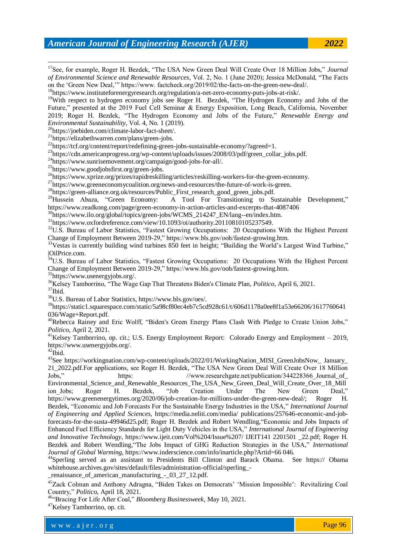-<sup>17</sup>See, for example, Roger H. Bezdek, "The USA New Green Deal Will Create Over 18 Million Jobs," *Journal of Environmental Science and Renewable Resources*, Vol. 2, No. 1 (June 2020); Jessica McDonald, "The Facts on the 'Green New Deal,'" https://www. factcheck.org/2019/02/the-facts-on-the-green-new-deal/.

<sup>18</sup>https://www.instituteforenergyresearch.org/regulation/a-net-zero-economy-puts-jobs-at-risk/.

<sup>19</sup>With respect to hydrogen economy jobs see Roger H. Bezdek, "The Hydrogen Economy and Jobs of the Future," presented at the 2019 Fuel Cell Seminar & Energy Exposition, Long Beach, California, November 2019; Roger H. Bezdek, "The Hydrogen Economy and Jobs of the Future," *Renewable Energy and Environmental Sustainability*, Vol. 4, No. 1 (2019).

<sup>20</sup>https://joebiden.com/climate-labor-fact-sheet/.

<sup>21</sup>https://elizabethwarren.com/plans/green-jobs.

<sup>22</sup>https://tcf.org/content/report/redefining-green-jobs-sustainable-economy/?agreed=1.

<sup>23</sup>https://cdn.americanprogress.org/wp-content/uploads/issues/2008/03/pdf/green\_collar\_jobs.pdf.

<sup>24</sup>https://www.sunrisemovement.org/campaign/good-jobs-for-all/.

<sup>25</sup>https://www.goodjobsfirst.org/green-jobs.

<sup>26</sup>https://www.xprize.org/prizes/rapidreskilling/articles/reskilling-workers-for-the-green-economy.

<sup>27</sup>https://www.greeneconomycoalition.org/news-and-resources/the-future-of-work-is-green.

 $^{28}$ https://green-alliance.org.uk/resources/Public\_First\_research\_good\_green\_jobs.pdf.<br> $^{29}$ Hussein Abaza, "Green Economy: A Tool For Transitioning to Su

A Tool For Transitioning to Sustainable Development," https://www.readkong.com/page/green-economy-in-action-articles-and-excerpts-that-4087406

<sup>30</sup>https://www.ilo.org/global/topics/green-jobs/WCMS\_214247\_EN/lang--en/index.htm.

 $31$ https://www.oxfordreference.com/view/10.1093/oi/authority.20110810105237549.

<sup>32</sup>U.S. Bureau of Labor Statistics, "Fastest Growing Occupations: 20 Occupations With the Highest Percent Change of Employment Between 2019-29," https://www.bls.gov/ooh/fastest-growing.htm.

<sup>33</sup>Vestas is currently building wind turbines 850 feet in height; "Building the World's Largest Wind Turbine," |OilPrice.com.

<sup>34</sup>U.S. Bureau of Labor Statistics, "Fastest Growing Occupations: 20 Occupations With the Highest Percent Change of Employment Between 2019-29," https://www.bls.gov/ooh/fastest-growing.htm.

<sup>35</sup>[https://www.usenergyjobs.org/.](https://www.usenergyjobs.org/)

<sup>36</sup>Kelsey Tamborrino, "The Wage Gap That Threatens Biden's Climate Plan, *Politico*, April 6, 2021.

 $37$ Ibid.

<sup>38</sup>U.S. Bureau of Labor Statistics, https://www.bls.gov/oes/.

<sup>39</sup>https://static1.squarespace.com/static/5a98cf80ec4eb7c5cd928c61/t/606d1178a0ee8f1a53e66206/1617760641 036/Wage+Report.pdf.

<sup>40</sup>[Rebecca Rainey](https://www.politico.com/staff/rebecca-rainey) and Eric Wolff, "Biden's Green Energy Plans Clash With Pledge to Create Union Jobs," *Politico*, April 2, 2021.

<sup>41</sup>Kelsey Tamborrino, op. cit.; U.S. Energy Employment Report: Colorado Energy and Employment – 2019, https://www.usenergyjobs.org/.

 $42$ Ibid.

<sup>43</sup>See https://workingnation.com/wp-content/uploads/2022/01/WorkingNation\_MISI\_GreenJobsNow\_ January\_ 21\_2022.pdf.For applications, see Roger H. Bezdek, "The USA New Green Deal Will Create Over 18 Million Jobs," https: //www.researchgate.net/publication/344228366 Journal of Environmental Science and Renewable Resources The USA New Green Deal Will Create Over 18 Mill ion\_Jobs; Roger H. Bezdek, "Job Creation Under The New Green Deal," https://www.greenenergytimes.org/2020/06/job-creation-for-millions-under-the-green-new-deal/; Roger H. Bezdek, "Economic and Job Forecasts For the Sustainable Energy Industries in the USA," *International Journal of Engineering and Applied Sciences*, https://media.neliti.com/media/ publications/257646-economic-and-jobforecasts-for-the-susta-49946d25.pdf; Roger H. Bezdek and Robert Wendling,"Economic and Jobs Impacts of Enhanced Fuel Efficiency Standards for Light Duty Vehicles in the USA," *International Journal of Engineering and Innovative Technology*, https://www.ijeit.com/Vol%204/Issue%207/ IJEIT141 2201501 \_22.pdf; Roger H. Bezdek and Robert Wendling,"The Jobs Impact of GHG Reduction Strategies in the USA," *International Journal of Global Warming*, https://www.inderscience.com/info/inarticle.php?Artid=66 046.

<sup>44</sup>Sperling served as an assistant to Presidents Bill Clinton and Barack Obama. See https:// Obama whitehouse.archives.gov/sites/default/files/administration-official/sperling\_-

\_renaissance\_of\_american\_manufacturing\_-\_03\_27\_12.pdf.

<sup>45</sup>Zack Colman and Anthony Adragna, "Biden Takes on Democrats' 'Mission Impossible': Revitalizing Coal Country," *Politico*, April 18, 2021.

<sup>46</sup>"Bracing For Life After Coal," *Bloomberg Businessweek*, May 10, 2021.

<sup>47</sup>Kelsey Tamborrino, op. cit.